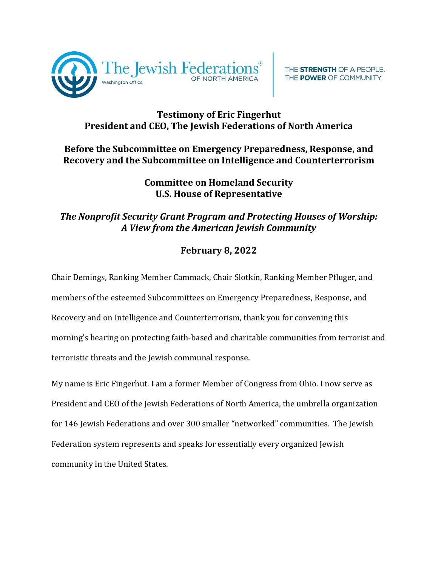

## **Testimony of Eric Fingerhut President and CEO, The Jewish Federations of North America**

THE STRENGTH OF A PEOPLE. THE POWER OF COMMUNITY.

## **Before the Subcommittee on Emergency Preparedness, Response, and Recovery and the Subcommittee on Intelligence and Counterterrorism**

## **Committee on Homeland Security U.S. House of Representative**

## *The Nonprofit Security Grant Program and Protecting Houses of Worship: A View from the American Jewish Community*

# **February 8, 2022**

Chair Demings, Ranking Member Cammack, Chair Slotkin, Ranking Member Pfluger, and members of the esteemed Subcommittees on Emergency Preparedness, Response, and Recovery and on Intelligence and Counterterrorism, thank you for convening this morning's hearing on protecting faith-based and charitable communities from terrorist and terroristic threats and the Jewish communal response.

My name is Eric Fingerhut. I am a former Member of Congress from Ohio. I now serve as President and CEO of the Jewish Federations of North America, the umbrella organization for 146 Jewish Federations and over 300 smaller "networked" communities. The Jewish Federation system represents and speaks for essentially every organized Jewish community in the United States.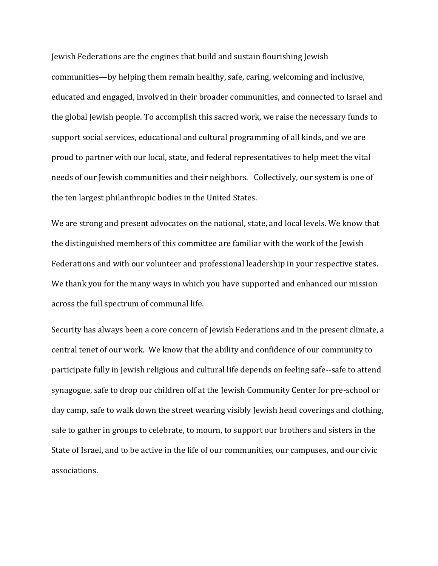Jewish Federations are the engines that build and sustain flourishing Jewish communities—by helping them remain healthy, safe, caring, welcoming and inclusive, educated and engaged, involved in their broader communities, and connected to Israel and the global Jewish people. To accomplish this sacred work, we raise the necessary funds to support social services, educational and cultural programming of all kinds, and we are proud to partner with our local, state, and federal representatives to help meet the vital needs of our Jewish communities and their neighbors. Collectively, our system is one of the ten largest philanthropic bodies in the United States.

We are strong and present advocates on the national, state, and local levels. We know that the distinguished members of this committee are familiar with the work of the Jewish Federations and with our volunteer and professional leadership in your respective states. We thank you for the many ways in which you have supported and enhanced our mission across the full spectrum of communal life.

Security has always been a core concern of Jewish Federations and in the present climate, a central tenet of our work. We know that the ability and confidence of our community to participate fully in Jewish religious and cultural life depends on feeling safe--safe to attend synagogue, safe to drop our children off at the Jewish Community Center for pre-school or day camp, safe to walk down the street wearing visibly Jewish head coverings and clothing, safe to gather in groups to celebrate, to mourn, to support our brothers and sisters in the State of Israel, and to be active in the life of our communities, our campuses, and our civic associations.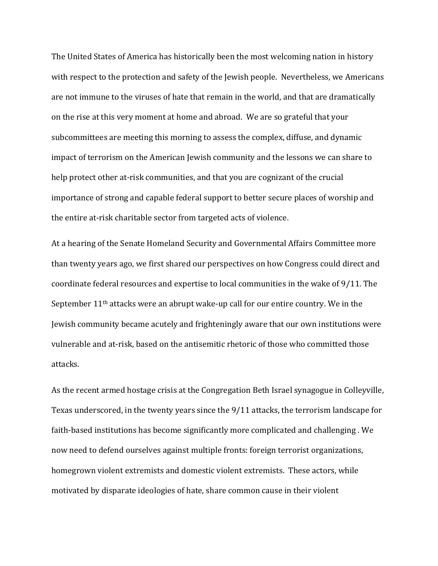The United States of America has historically been the most welcoming nation in history with respect to the protection and safety of the Jewish people. Nevertheless, we Americans are not immune to the viruses of hate that remain in the world, and that are dramatically on the rise at this very moment at home and abroad. We are so grateful that your subcommittees are meeting this morning to assess the complex, diffuse, and dynamic impact of terrorism on the American Jewish community and the lessons we can share to help protect other at-risk communities, and that you are cognizant of the crucial importance of strong and capable federal support to better secure places of worship and the entire at-risk charitable sector from targeted acts of violence.

At a hearing of the Senate Homeland Security and Governmental Affairs Committee more than twenty years ago, we first shared our perspectives on how Congress could direct and coordinate federal resources and expertise to local communities in the wake of 9/11. The September 11th attacks were an abrupt wake-up call for our entire country. We in the Jewish community became acutely and frighteningly aware that our own institutions were vulnerable and at-risk, based on the antisemitic rhetoric of those who committed those attacks.

As the recent armed hostage crisis at the Congregation Beth Israel synagogue in Colleyville, Texas underscored, in the twenty years since the 9/11 attacks, the terrorism landscape for faith-based institutions has become significantly more complicated and challenging . We now need to defend ourselves against multiple fronts: foreign terrorist organizations, homegrown violent extremists and domestic violent extremists. These actors, while motivated by disparate ideologies of hate, share common cause in their violent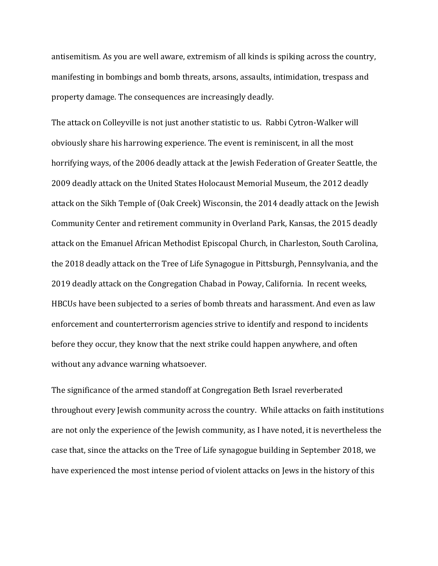antisemitism. As you are well aware, extremism of all kinds is spiking across the country, manifesting in bombings and bomb threats, arsons, assaults, intimidation, trespass and property damage. The consequences are increasingly deadly.

The attack on Colleyville is not just another statistic to us. Rabbi Cytron-Walker will obviously share his harrowing experience. The event is reminiscent, in all the most horrifying ways, of the 2006 deadly attack at the Jewish Federation of Greater Seattle, the 2009 deadly attack on the United States Holocaust Memorial Museum, the 2012 deadly attack on the Sikh Temple of (Oak Creek) Wisconsin, the 2014 deadly attack on the Jewish Community Center and retirement community in Overland Park, Kansas, the 2015 deadly attack on the Emanuel African Methodist Episcopal Church, in Charleston, South Carolina, the 2018 deadly attack on the Tree of Life Synagogue in Pittsburgh, Pennsylvania, and the 2019 deadly attack on the Congregation Chabad in Poway, California. In recent weeks, HBCUs have been subjected to a series of bomb threats and harassment. And even as law enforcement and counterterrorism agencies strive to identify and respond to incidents before they occur, they know that the next strike could happen anywhere, and often without any advance warning whatsoever.

The significance of the armed standoff at Congregation Beth Israel reverberated throughout every Jewish community across the country. While attacks on faith institutions are not only the experience of the Jewish community, as I have noted, it is nevertheless the case that, since the attacks on the Tree of Life synagogue building in September 2018, we have experienced the most intense period of violent attacks on Jews in the history of this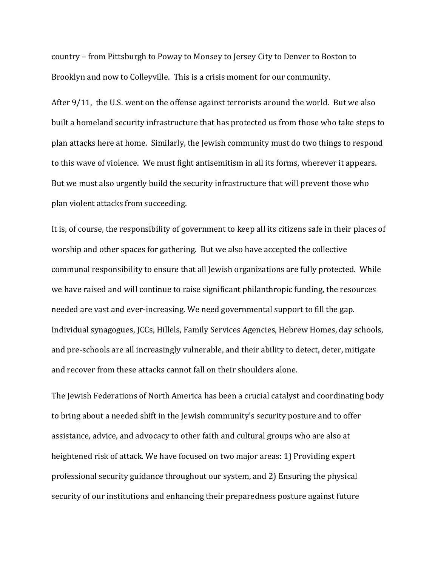country – from Pittsburgh to Poway to Monsey to Jersey City to Denver to Boston to Brooklyn and now to Colleyville. This is a crisis moment for our community.

After 9/11, the U.S. went on the offense against terrorists around the world. But we also built a homeland security infrastructure that has protected us from those who take steps to plan attacks here at home. Similarly, the Jewish community must do two things to respond to this wave of violence. We must fight antisemitism in all its forms, wherever it appears. But we must also urgently build the security infrastructure that will prevent those who plan violent attacks from succeeding.

It is, of course, the responsibility of government to keep all its citizens safe in their places of worship and other spaces for gathering. But we also have accepted the collective communal responsibility to ensure that all Jewish organizations are fully protected. While we have raised and will continue to raise significant philanthropic funding, the resources needed are vast and ever-increasing. We need governmental support to fill the gap. Individual synagogues, JCCs, Hillels, Family Services Agencies, Hebrew Homes, day schools, and pre-schools are all increasingly vulnerable, and their ability to detect, deter, mitigate and recover from these attacks cannot fall on their shoulders alone.

The Jewish Federations of North America has been a crucial catalyst and coordinating body to bring about a needed shift in the Jewish community's security posture and to offer assistance, advice, and advocacy to other faith and cultural groups who are also at heightened risk of attack. We have focused on two major areas: 1) Providing expert professional security guidance throughout our system, and 2) Ensuring the physical security of our institutions and enhancing their preparedness posture against future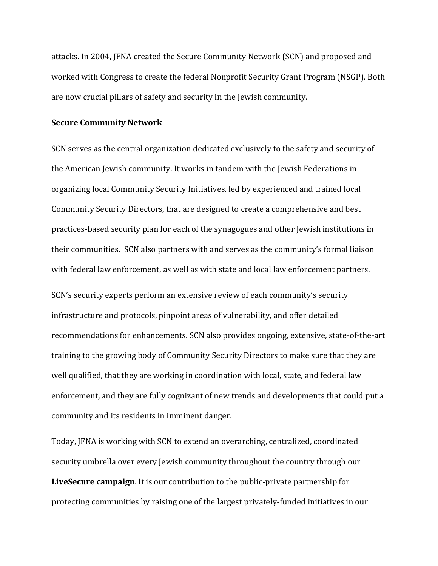attacks. In 2004, JFNA created the Secure Community Network (SCN) and proposed and worked with Congress to create the federal Nonprofit Security Grant Program (NSGP). Both are now crucial pillars of safety and security in the Jewish community.

#### **Secure Community Network**

SCN serves as the central organization dedicated exclusively to the safety and security of the American Jewish community. It works in tandem with the Jewish Federations in organizing local Community Security Initiatives, led by experienced and trained local Community Security Directors, that are designed to create a comprehensive and best practices-based security plan for each of the synagogues and other Jewish institutions in their communities. SCN also partners with and serves as the community's formal liaison with federal law enforcement, as well as with state and local law enforcement partners.

SCN's security experts perform an extensive review of each community's security infrastructure and protocols, pinpoint areas of vulnerability, and offer detailed recommendations for enhancements. SCN also provides ongoing, extensive, state-of-the-art training to the growing body of Community Security Directors to make sure that they are well qualified, that they are working in coordination with local, state, and federal law enforcement, and they are fully cognizant of new trends and developments that could put a community and its residents in imminent danger.

Today, JFNA is working with SCN to extend an overarching, centralized, coordinated security umbrella over every Jewish community throughout the country through our **LiveSecure campaign**. It is our contribution to the public-private partnership for protecting communities by raising one of the largest privately-funded initiatives in our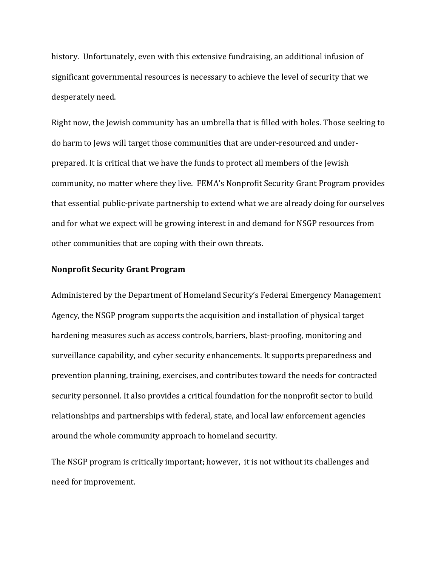history. Unfortunately, even with this extensive fundraising, an additional infusion of significant governmental resources is necessary to achieve the level of security that we desperately need.

Right now, the Jewish community has an umbrella that is filled with holes. Those seeking to do harm to Jews will target those communities that are under-resourced and underprepared. It is critical that we have the funds to protect all members of the Jewish community, no matter where they live. FEMA's Nonprofit Security Grant Program provides that essential public-private partnership to extend what we are already doing for ourselves and for what we expect will be growing interest in and demand for NSGP resources from other communities that are coping with their own threats.

### **Nonprofit Security Grant Program**

Administered by the Department of Homeland Security's Federal Emergency Management Agency, the NSGP program supports the acquisition and installation of physical target hardening measures such as access controls, barriers, blast-proofing, monitoring and surveillance capability, and cyber security enhancements. It supports preparedness and prevention planning, training, exercises, and contributes toward the needs for contracted security personnel. It also provides a critical foundation for the nonprofit sector to build relationships and partnerships with federal, state, and local law enforcement agencies around the whole community approach to homeland security.

The NSGP program is critically important; however, it is not without its challenges and need for improvement.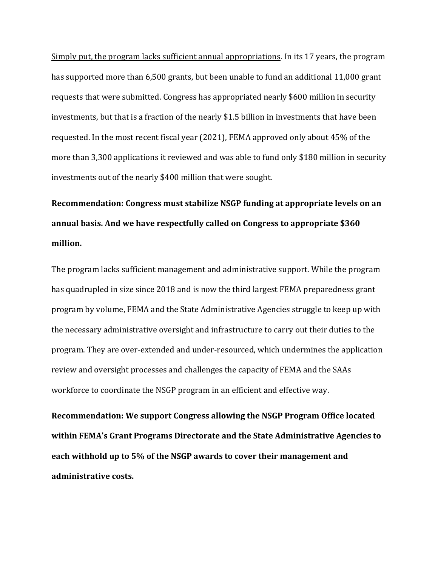Simply put, the program lacks sufficient annual appropriations. In its 17 years, the program has supported more than 6,500 grants, but been unable to fund an additional 11,000 grant requests that were submitted. Congress has appropriated nearly \$600 million in security investments, but that is a fraction of the nearly \$1.5 billion in investments that have been requested. In the most recent fiscal year (2021), FEMA approved only about 45% of the more than 3,300 applications it reviewed and was able to fund only \$180 million in security investments out of the nearly \$400 million that were sought.

**Recommendation: Congress must stabilize NSGP funding at appropriate levels on an annual basis. And we have respectfully called on Congress to appropriate \$360 million.**

The program lacks sufficient management and administrative support. While the program has quadrupled in size since 2018 and is now the third largest FEMA preparedness grant program by volume, FEMA and the State Administrative Agencies struggle to keep up with the necessary administrative oversight and infrastructure to carry out their duties to the program. They are over-extended and under-resourced, which undermines the application review and oversight processes and challenges the capacity of FEMA and the SAAs workforce to coordinate the NSGP program in an efficient and effective way.

**Recommendation: We support Congress allowing the NSGP Program Office located within FEMA's Grant Programs Directorate and the State Administrative Agencies to each withhold up to 5% of the NSGP awards to cover their management and administrative costs.**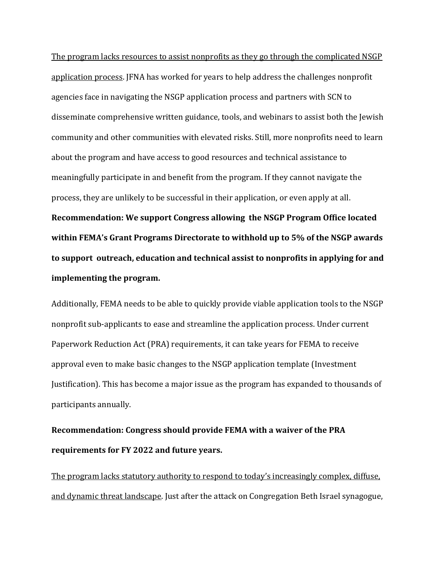The program lacks resources to assist nonprofits as they go through the complicated NSGP application process. JFNA has worked for years to help address the challenges nonprofit agencies face in navigating the NSGP application process and partners with SCN to disseminate comprehensive written guidance, tools, and webinars to assist both the Jewish community and other communities with elevated risks. Still, more nonprofits need to learn about the program and have access to good resources and technical assistance to meaningfully participate in and benefit from the program. If they cannot navigate the process, they are unlikely to be successful in their application, or even apply at all. **Recommendation: We support Congress allowing the NSGP Program Office located within FEMA's Grant Programs Directorate to withhold up to 5% of the NSGP awards to support outreach, education and technical assist to nonprofits in applying for and** 

### **implementing the program.**

Additionally, FEMA needs to be able to quickly provide viable application tools to the NSGP nonprofit sub-applicants to ease and streamline the application process. Under current Paperwork Reduction Act (PRA) requirements, it can take years for FEMA to receive approval even to make basic changes to the NSGP application template (Investment Justification). This has become a major issue as the program has expanded to thousands of participants annually.

**Recommendation: Congress should provide FEMA with a waiver of the PRA requirements for FY 2022 and future years.**

The program lacks statutory authority to respond to today's increasingly complex, diffuse, and dynamic threat landscape. Just after the attack on Congregation Beth Israel synagogue,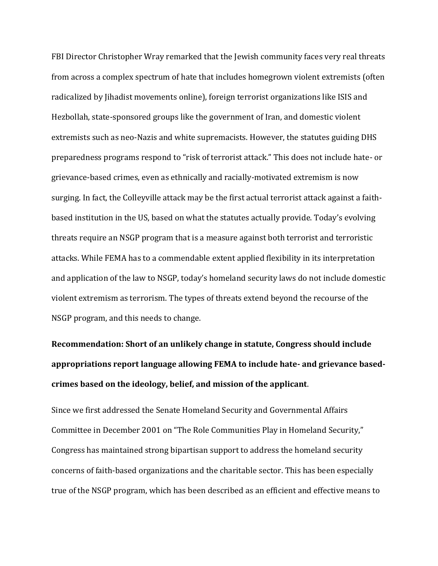FBI Director Christopher Wray remarked that the Jewish community faces very real threats from across a complex spectrum of hate that includes homegrown violent extremists (often radicalized by Jihadist movements online), foreign terrorist organizations like ISIS and Hezbollah, state-sponsored groups like the government of Iran, and domestic violent extremists such as neo-Nazis and white supremacists. However, the statutes guiding DHS preparedness programs respond to "risk of terrorist attack." This does not include hate- or grievance-based crimes, even as ethnically and racially-motivated extremism is now surging. In fact, the Colleyville attack may be the first actual terrorist attack against a faithbased institution in the US, based on what the statutes actually provide. Today's evolving threats require an NSGP program that is a measure against both terrorist and terroristic attacks. While FEMA has to a commendable extent applied flexibility in its interpretation and application of the law to NSGP, today's homeland security laws do not include domestic violent extremism as terrorism. The types of threats extend beyond the recourse of the NSGP program, and this needs to change.

**Recommendation: Short of an unlikely change in statute, Congress should include appropriations report language allowing FEMA to include hate- and grievance basedcrimes based on the ideology, belief, and mission of the applicant**.

Since we first addressed the Senate Homeland Security and Governmental Affairs Committee in December 2001 on "The Role Communities Play in Homeland Security," Congress has maintained strong bipartisan support to address the homeland security concerns of faith-based organizations and the charitable sector. This has been especially true of the NSGP program, which has been described as an efficient and effective means to